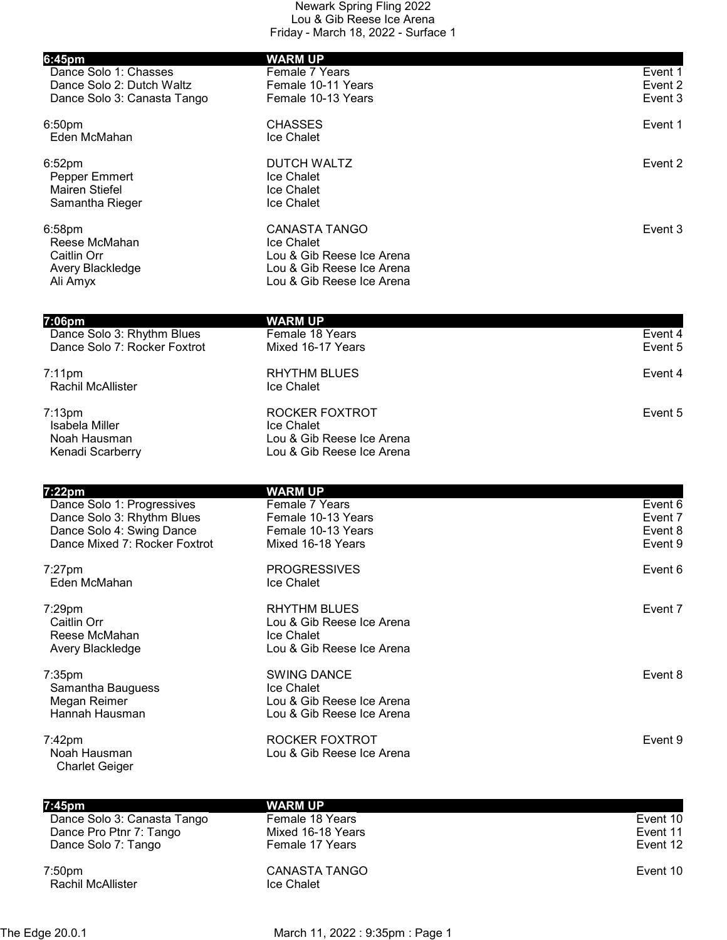| 6:45pm                                | <b>WARM UP</b>                                         |          |
|---------------------------------------|--------------------------------------------------------|----------|
| Dance Solo 1: Chasses                 | Female 7 Years                                         | Event 1  |
| Dance Solo 2: Dutch Waltz             | Female 10-11 Years                                     | Event 2  |
| Dance Solo 3: Canasta Tango           | Female 10-13 Years                                     | Event 3  |
| 6:50 <sub>pm</sub>                    | <b>CHASSES</b>                                         | Event 1  |
| Eden McMahan                          | Ice Chalet                                             |          |
| 6:52 <sub>pm</sub>                    | <b>DUTCH WALTZ</b>                                     | Event 2  |
| Pepper Emmert                         | Ice Chalet                                             |          |
| <b>Mairen Stiefel</b>                 | Ice Chalet                                             |          |
| Samantha Rieger                       | <b>Ice Chalet</b>                                      |          |
| 6:58pm                                | <b>CANASTA TANGO</b>                                   | Event 3  |
| Reese McMahan<br>Caitlin Orr          | Ice Chalet<br>Lou & Gib Reese Ice Arena                |          |
| Avery Blackledge                      | Lou & Gib Reese Ice Arena                              |          |
| Ali Amyx                              | Lou & Gib Reese Ice Arena                              |          |
|                                       |                                                        |          |
| 7:06pm<br>Dance Solo 3: Rhythm Blues  | <b>WARM UP</b><br>Female 18 Years                      | Event 4  |
| Dance Solo 7: Rocker Foxtrot          | Mixed 16-17 Years                                      | Event 5  |
| $7:11$ pm                             | <b>RHYTHM BLUES</b>                                    | Event 4  |
| Rachil McAllister                     | Ice Chalet                                             |          |
| $7:13$ pm                             | ROCKER FOXTROT                                         | Event 5  |
| Isabela Miller                        | Ice Chalet                                             |          |
| Noah Hausman                          | Lou & Gib Reese Ice Arena                              |          |
| Kenadi Scarberry                      | Lou & Gib Reese Ice Arena                              |          |
| 7:22pm                                | <b>WARM UP</b>                                         |          |
| Dance Solo 1: Progressives            | Female 7 Years                                         | Event 6  |
| Dance Solo 3: Rhythm Blues            | Female 10-13 Years                                     | Event 7  |
| Dance Solo 4: Swing Dance             | Female 10-13 Years                                     | Event 8  |
| Dance Mixed 7: Rocker Foxtrot         | Mixed 16-18 Years                                      | Event 9  |
| $7:27$ pm                             | <b>PROGRESSIVES</b>                                    | Event 6  |
| Eden McMahan                          | Ice Chalet                                             |          |
| 7:29pm                                | <b>RHYTHM BLUES</b>                                    | Event 7  |
| Caitlin Orr                           | Lou & Gib Reese Ice Arena                              |          |
| Reese McMahan                         | Ice Chalet                                             |          |
| Avery Blackledge                      | Lou & Gib Reese Ice Arena                              |          |
| 7:35pm                                | <b>SWING DANCE</b>                                     | Event 8  |
| Samantha Bauguess                     | Ice Chalet                                             |          |
| Megan Reimer<br>Hannah Hausman        | Lou & Gib Reese Ice Arena<br>Lou & Gib Reese Ice Arena |          |
| 7:42pm                                | ROCKER FOXTROT                                         | Event 9  |
| Noah Hausman                          | Lou & Gib Reese Ice Arena                              |          |
| <b>Charlet Geiger</b>                 |                                                        |          |
|                                       |                                                        |          |
| 7:45pm<br>Dance Solo 3: Canasta Tango | <b>WARM UP</b><br>Female 18 Years                      | Event 10 |
| Dance Pro Ptnr 7: Tango               | Mixed 16-18 Years                                      | Event 11 |

Dance Solo 7: Tango Female 17 Years Event 12

7:50pm CANASTA TANGO Event 10 Rachil McAllister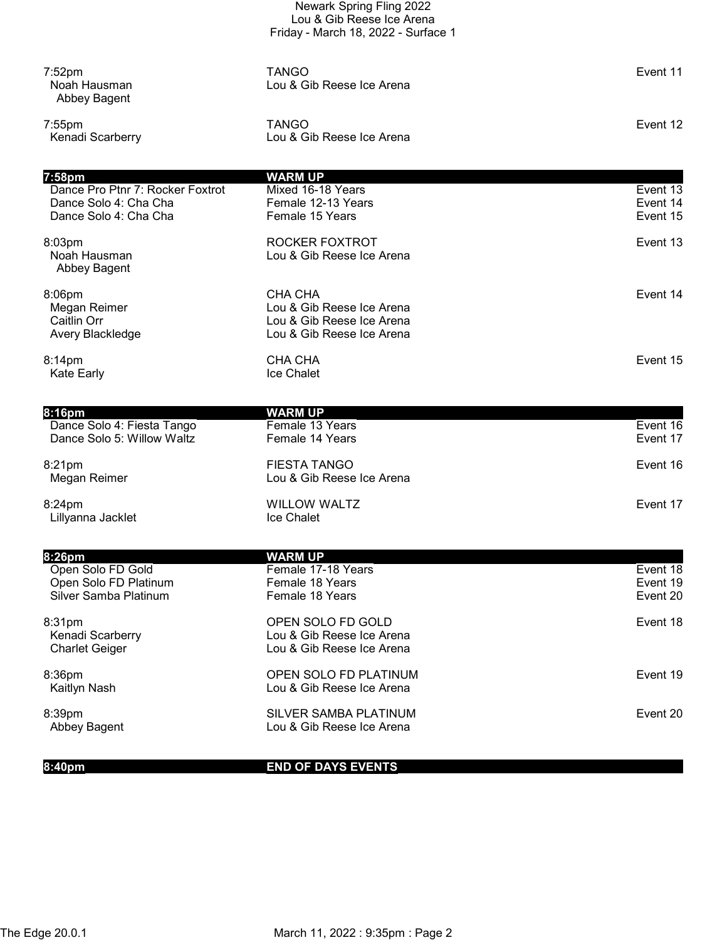|                                                                                              | Newark Spring Fling 2022<br>Lou & Gib Reese Ice Arena<br>Friday - March 18, 2022 - Surface 1          |                                  |
|----------------------------------------------------------------------------------------------|-------------------------------------------------------------------------------------------------------|----------------------------------|
| 7:52 <sub>pm</sub><br>Noah Hausman<br>Abbey Bagent                                           | <b>TANGO</b><br>Lou & Gib Reese Ice Arena                                                             | Event 11                         |
| $7:55$ pm<br>Kenadi Scarberry                                                                | <b>TANGO</b><br>Lou & Gib Reese Ice Arena                                                             | Event 12                         |
|                                                                                              |                                                                                                       |                                  |
| 7:58pm<br>Dance Pro Ptnr 7: Rocker Foxtrot<br>Dance Solo 4: Cha Cha<br>Dance Solo 4: Cha Cha | <b>WARM UP</b><br>Mixed 16-18 Years<br>Female 12-13 Years<br>Female 15 Years                          | Event 13<br>Event 14<br>Event 15 |
| 8:03pm<br>Noah Hausman<br>Abbey Bagent                                                       | ROCKER FOXTROT<br>Lou & Gib Reese Ice Arena                                                           | Event 13                         |
| 8:06pm<br>Megan Reimer<br>Caitlin Orr<br>Avery Blackledge                                    | <b>CHA CHA</b><br>Lou & Gib Reese Ice Arena<br>Lou & Gib Reese Ice Arena<br>Lou & Gib Reese Ice Arena | Event 14                         |
| 8:14pm<br><b>Kate Early</b>                                                                  | <b>CHA CHA</b><br>Ice Chalet                                                                          | Event 15                         |
|                                                                                              |                                                                                                       |                                  |
| 8:16pm<br>Dance Solo 4: Fiesta Tango<br>Dance Solo 5: Willow Waltz                           | <b>WARM UP</b><br>Female 13 Years<br>Female 14 Years                                                  | Event 16<br>Event 17             |
| 8:21pm<br>Megan Reimer                                                                       | <b>FIESTA TANGO</b><br>Lou & Gib Reese Ice Arena                                                      | Event 16                         |
| 8:24pm<br>Lillyanna Jacklet                                                                  | <b>WILLOW WALTZ</b><br>Ice Chalet                                                                     | Event 17                         |
|                                                                                              |                                                                                                       |                                  |
| 8:26pm<br>Open Solo FD Gold<br>Open Solo FD Platinum<br>Silver Samba Platinum                | <b>WARM UP</b><br>Female 17-18 Years<br>Female 18 Years<br>Female 18 Years                            | Event 18<br>Event 19<br>Event 20 |
| 8:31pm<br>Kenadi Scarberry<br><b>Charlet Geiger</b>                                          | OPEN SOLO FD GOLD<br>Lou & Gib Reese Ice Arena<br>Lou & Gib Reese Ice Arena                           | Event 18                         |
| 8:36pm<br>Kaitlyn Nash                                                                       | OPEN SOLO FD PLATINUM<br>Lou & Gib Reese Ice Arena                                                    | Event 19                         |
| 8:39pm<br>Abbey Bagent                                                                       | SILVER SAMBA PLATINUM<br>Lou & Gib Reese Ice Arena                                                    | Event 20                         |
|                                                                                              |                                                                                                       |                                  |

8:40pm END OF DAYS EVENTS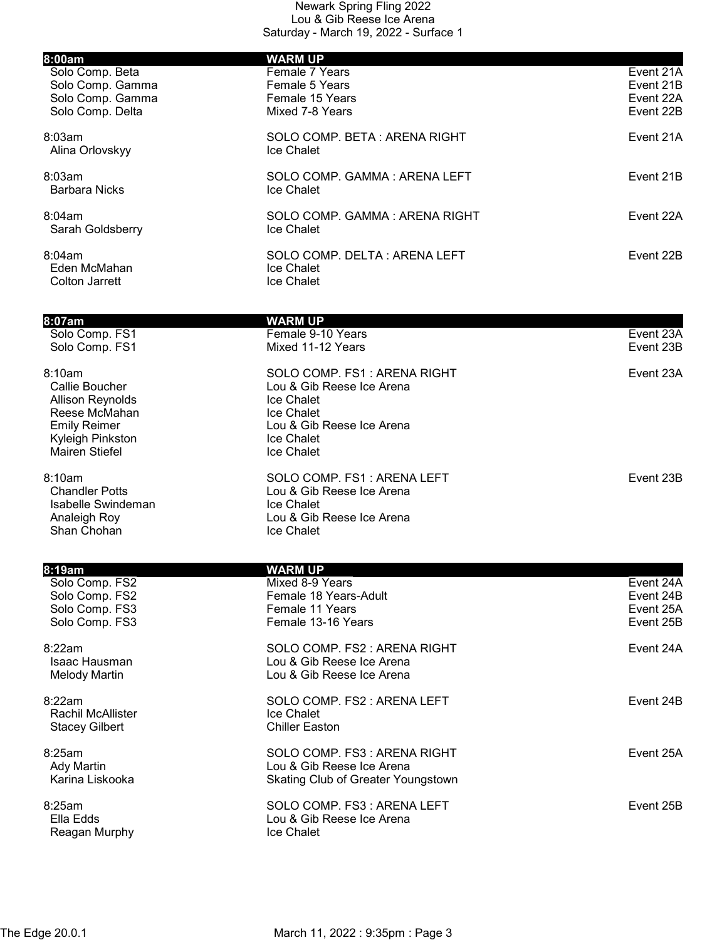| 8:00am                                    | <b>WARM UP</b>                                          |           |
|-------------------------------------------|---------------------------------------------------------|-----------|
| Solo Comp. Beta                           | Female 7 Years                                          | Event 21A |
| Solo Comp. Gamma                          | Female 5 Years                                          | Event 21B |
| Solo Comp. Gamma                          | Female 15 Years                                         | Event 22A |
| Solo Comp. Delta                          | Mixed 7-8 Years                                         | Event 22B |
| 8:03am                                    | SOLO COMP. BETA: ARENA RIGHT                            | Event 21A |
| Alina Orlovskyy                           | Ice Chalet                                              |           |
| 8:03am                                    | SOLO COMP. GAMMA: ARENA LEFT                            | Event 21B |
| <b>Barbara Nicks</b>                      | Ice Chalet                                              |           |
| 8:04am                                    | SOLO COMP. GAMMA: ARENA RIGHT                           | Event 22A |
| Sarah Goldsberry                          | <b>Ice Chalet</b>                                       |           |
|                                           |                                                         |           |
| 8:04am<br>Eden McMahan                    | SOLO COMP. DELTA: ARENA LEFT<br>Ice Chalet              | Event 22B |
| <b>Colton Jarrett</b>                     | Ice Chalet                                              |           |
|                                           |                                                         |           |
| 8:07am                                    | <b>WARM UP</b>                                          |           |
| Solo Comp. FS1                            | Female 9-10 Years                                       | Event 23A |
| Solo Comp. FS1                            | Mixed 11-12 Years                                       | Event 23B |
| 8:10am                                    | SOLO COMP. FS1: ARENA RIGHT                             | Event 23A |
| Callie Boucher                            | Lou & Gib Reese Ice Arena                               |           |
| <b>Allison Reynolds</b>                   | Ice Chalet                                              |           |
| Reese McMahan                             | Ice Chalet                                              |           |
| <b>Emily Reimer</b>                       | Lou & Gib Reese Ice Arena<br>Ice Chalet                 |           |
| Kyleigh Pinkston<br><b>Mairen Stiefel</b> | Ice Chalet                                              |           |
|                                           |                                                         |           |
| 8:10am<br><b>Chandler Potts</b>           | SOLO COMP. FS1: ARENA LEFT<br>Lou & Gib Reese Ice Arena | Event 23B |
| Isabelle Swindeman                        | Ice Chalet                                              |           |
| Analeigh Roy                              | Lou & Gib Reese Ice Arena                               |           |
| Shan Chohan                               | Ice Chalet                                              |           |
|                                           |                                                         |           |
| 8:19am<br>Solo Comp. FS2                  | <b>WARM UP</b><br>Mixed 8-9 Years                       | Event 24A |
| Solo Comp. FS2                            | Female 18 Years-Adult                                   | Event 24B |
| Solo Comp. FS3                            | Female 11 Years                                         | Event 25A |
| Solo Comp. FS3                            | Female 13-16 Years                                      | Event 25B |
| 8:22am                                    | SOLO COMP. FS2 : ARENA RIGHT                            | Event 24A |
| Isaac Hausman                             | Lou & Gib Reese Ice Arena                               |           |
| <b>Melody Martin</b>                      | Lou & Gib Reese Ice Arena                               |           |
| 8:22am                                    | SOLO COMP. FS2: ARENA LEFT                              | Event 24B |
| <b>Rachil McAllister</b>                  | Ice Chalet                                              |           |
| <b>Stacey Gilbert</b>                     | <b>Chiller Easton</b>                                   |           |
| 8:25am                                    | SOLO COMP. FS3: ARENA RIGHT                             | Event 25A |
| <b>Ady Martin</b>                         | Lou & Gib Reese Ice Arena                               |           |
| Karina Liskooka                           | <b>Skating Club of Greater Youngstown</b>               |           |
| 8:25am                                    | SOLO COMP. FS3: ARENA LEFT                              | Event 25B |
| Ella Edds                                 | Lou & Gib Reese Ice Arena                               |           |
| Reagan Murphy                             | Ice Chalet                                              |           |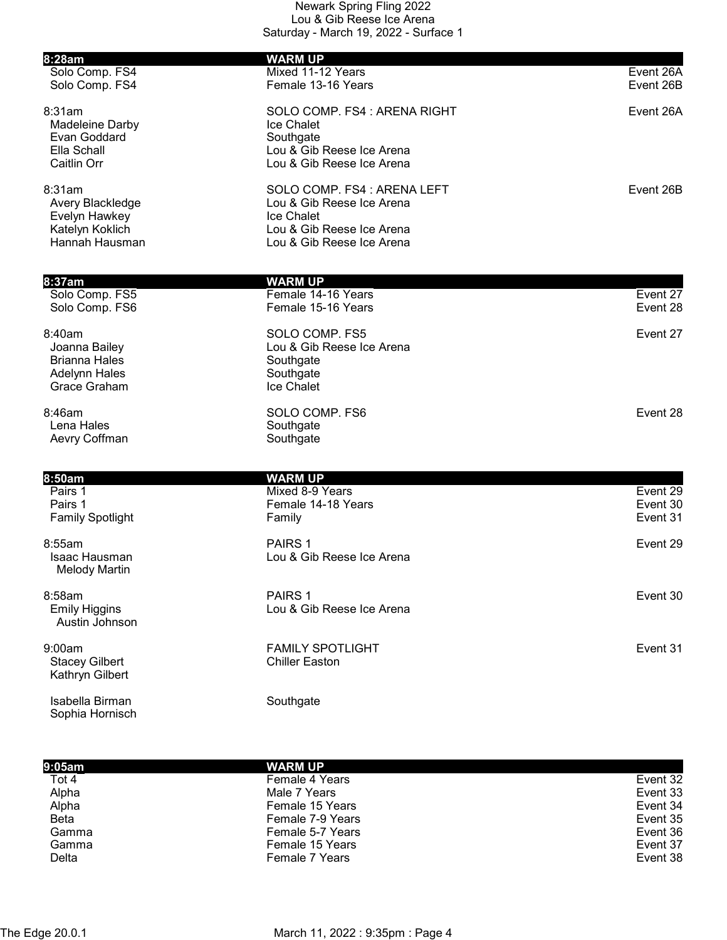| 8:28am                                                                                  | <b>WARM UP</b>                                                                                                                   |                                  |
|-----------------------------------------------------------------------------------------|----------------------------------------------------------------------------------------------------------------------------------|----------------------------------|
| Solo Comp. FS4<br>Solo Comp. FS4                                                        | Mixed 11-12 Years<br>Female 13-16 Years                                                                                          | Event 26A<br>Event 26B           |
| 8:31am<br>Madeleine Darby<br>Evan Goddard<br>Ella Schall<br>Caitlin Orr                 | SOLO COMP. FS4 : ARENA RIGHT<br>Ice Chalet<br>Southgate<br>Lou & Gib Reese Ice Arena<br>Lou & Gib Reese Ice Arena                | Event 26A                        |
| 8:31am<br>Avery Blackledge<br>Evelyn Hawkey<br>Katelyn Koklich<br>Hannah Hausman        | SOLO COMP. FS4 : ARENA LEFT<br>Lou & Gib Reese Ice Arena<br>Ice Chalet<br>Lou & Gib Reese Ice Arena<br>Lou & Gib Reese Ice Arena | Event 26B                        |
| 8:37am                                                                                  | <b>WARM UP</b>                                                                                                                   |                                  |
| Solo Comp. FS5<br>Solo Comp. FS6                                                        | Female 14-16 Years<br>Female 15-16 Years                                                                                         | Event 27<br>Event 28             |
| 8:40am<br>Joanna Bailey<br><b>Brianna Hales</b><br><b>Adelynn Hales</b><br>Grace Graham | SOLO COMP. FS5<br>Lou & Gib Reese Ice Arena<br>Southgate<br>Southgate<br>Ice Chalet                                              | Event 27                         |
| 8:46am<br>Lena Hales<br>Aevry Coffman                                                   | SOLO COMP. FS6<br>Southgate<br>Southgate                                                                                         | Event 28                         |
| 8:50am                                                                                  | <b>WARM UP</b>                                                                                                                   |                                  |
| Pairs 1<br>Pairs 1<br><b>Family Spotlight</b>                                           | Mixed 8-9 Years<br>Female 14-18 Years<br>Family                                                                                  | Event 29<br>Event 30<br>Event 31 |
| 8:55am<br><b>Isaac Hausman</b><br><b>Melody Martin</b>                                  | PAIRS <sub>1</sub><br>Lou & Gib Reese Ice Arena                                                                                  | Event 29                         |
| 8:58am<br><b>Emily Higgins</b><br>Austin Johnson                                        | PAIRS 1<br>Lou & Gib Reese Ice Arena                                                                                             | Event 30                         |
| 9:00am<br><b>Stacey Gilbert</b><br>Kathryn Gilbert                                      | <b>FAMILY SPOTLIGHT</b><br><b>Chiller Easton</b>                                                                                 | Event 31                         |

Isabella Birman Southgate Sophia Hornisch

| 9:05am      | <b>WARM UP</b>   |          |
|-------------|------------------|----------|
| Tot 4       | Female 4 Years   | Event 32 |
| Alpha       | Male 7 Years     | Event 33 |
| Alpha       | Female 15 Years  | Event 34 |
| <b>Beta</b> | Female 7-9 Years | Event 35 |
| Gamma       | Female 5-7 Years | Event 36 |
| Gamma       | Female 15 Years  | Event 37 |
| Delta       | Female 7 Years   | Event 38 |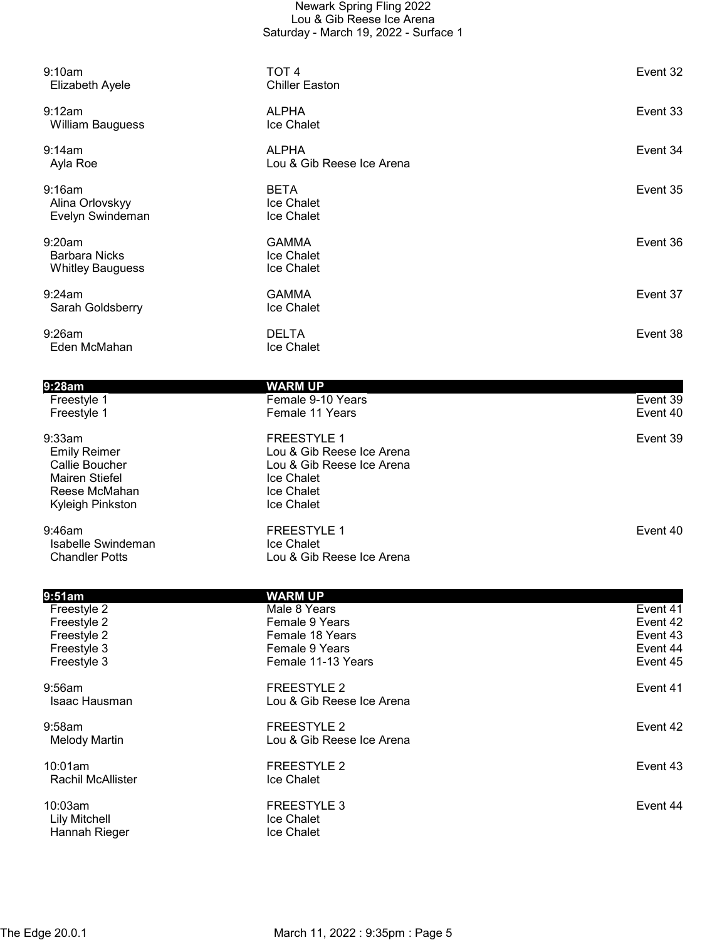| 9:10am<br><b>Elizabeth Ayele</b>                                                                              | TOT <sub>4</sub><br><b>Chiller Easton</b>                                                                                     | Event 32             |
|---------------------------------------------------------------------------------------------------------------|-------------------------------------------------------------------------------------------------------------------------------|----------------------|
| 9:12am<br><b>William Bauguess</b>                                                                             | <b>ALPHA</b><br>Ice Chalet                                                                                                    | Event 33             |
| 9:14am<br>Ayla Roe                                                                                            | <b>ALPHA</b><br>Lou & Gib Reese Ice Arena                                                                                     | Event 34             |
| 9:16am<br>Alina Orlovskyy<br>Evelyn Swindeman                                                                 | <b>BETA</b><br>Ice Chalet<br>Ice Chalet                                                                                       | Event 35             |
| 9:20am<br><b>Barbara Nicks</b><br><b>Whitley Bauguess</b>                                                     | <b>GAMMA</b><br>Ice Chalet<br>Ice Chalet                                                                                      | Event 36             |
| 9:24am<br>Sarah Goldsberry                                                                                    | <b>GAMMA</b><br>Ice Chalet                                                                                                    | Event 37             |
| 9:26am<br>Eden McMahan                                                                                        | <b>DELTA</b><br>Ice Chalet                                                                                                    | Event 38             |
|                                                                                                               |                                                                                                                               |                      |
| 9:28am                                                                                                        | <b>WARM UP</b>                                                                                                                |                      |
| Freestyle 1<br>Freestyle 1                                                                                    | Female 9-10 Years<br>Female 11 Years                                                                                          | Event 39<br>Event 40 |
| 9:33am<br><b>Emily Reimer</b><br>Callie Boucher<br><b>Mairen Stiefel</b><br>Reese McMahan<br>Kyleigh Pinkston | <b>FREESTYLE 1</b><br>Lou & Gib Reese Ice Arena<br>Lou & Gib Reese Ice Arena<br>Ice Chalet<br>Ice Chalet<br><b>Ice Chalet</b> | Event 39             |
| 9:46am<br>Isabelle Swindeman<br><b>Chandler Potts</b>                                                         | <b>FREESTYLE 1</b><br>Ice Chalet<br>Lou & Gib Reese Ice Arena                                                                 | Event 40             |
| 9:51am                                                                                                        | <b>WARM UP</b>                                                                                                                |                      |
| Freestyle 2                                                                                                   | Male 8 Years                                                                                                                  | Event 41             |
| Freestyle 2                                                                                                   | Female 9 Years                                                                                                                | Event 42             |
| Freestyle 2<br>Freestyle 3                                                                                    | Female 18 Years                                                                                                               | Event 43             |
|                                                                                                               | Female 9 Years                                                                                                                | Event 44             |

9:56am FREESTYLE 2 Event 41

9:58am FREESTYLE 2 Event 42 Melody Martin **Melody Martin** Lou & Gib Reese Ice Arena

10:01am FREESTYLE 2 Event 43 Rachil McAllister

10:03am FREESTYLE 3 Event 44 Lily Mitchell<br>
Hannah Rieger<br>
Hannah Rieger<br>
Ice Chalet Hannah Rieger

Freestyle 3 Female 11-13 Years Event 45

Lou & Gib Reese Ice Arena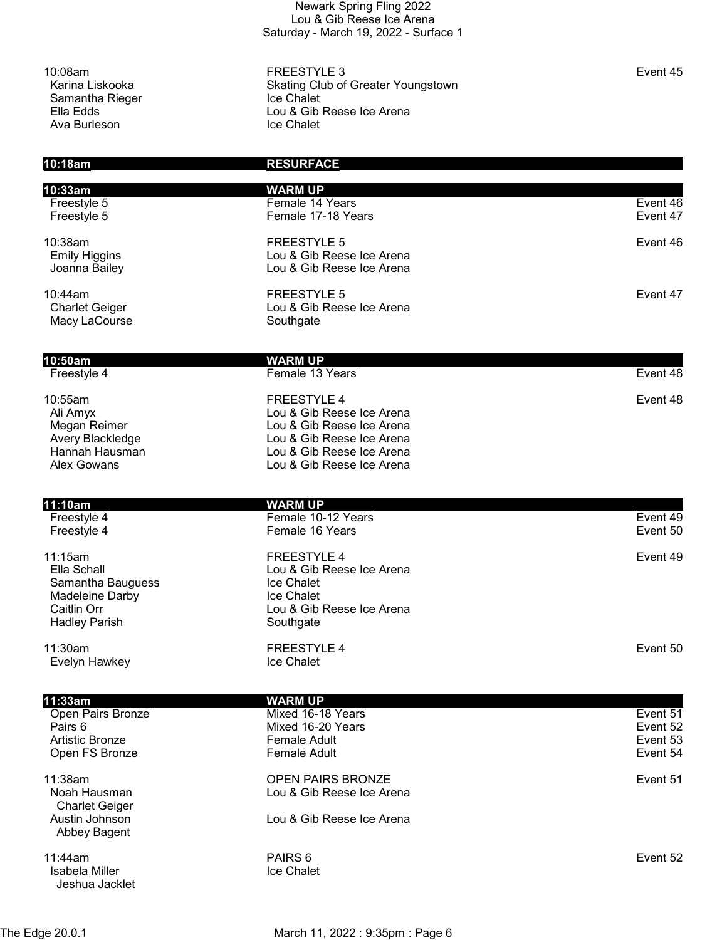Samantha Rieger **Internal Samantha Rieger** Internal Revolution and Trustal Revolution Art and Trustal Revolution Ava Burleson

10:08am FREESTYLE 3 Event 45 Karina Liskooka **Skating Club of Greater Youngstown** Ella Edds **Lou & Gib Reese Ice Arena**<br>Ava Burleson **Lou & Chalet** Chalet

Female 17-18 Years

Lou & Gib Reese Ice Arena

Lou & Gib Reese Ice Arena

Lou & Gib Reese Ice Arena

**Female 13 Years Event 48** 

# 10:18am RESURFACE 10:33am WARM UP Freestyle 5 Female 14 Years Event 46

| LIGGSING O  |  |
|-------------|--|
| Freestyle 5 |  |

10:38am FREESTYLE 5 Event 46 Emily Higgins **Emily Higgins**<br>
Joanna Bailey **All Accord Lou & Gib Reese Ice Arena** 

10:44am FREESTYLE 5 Event 47 Macy LaCourse **Southgate** Southgate

**10:50am** WARM UP<br>
Freestyle 4 **Example 13** 

10:55am FREESTYLE 4 Event 48 Ali Amyx Lou & Gib Reese Ice Arena Megan Reimer **Lou & Gib Reese Ice Arena** Avery Blackledge **Lou & Gib Reese Ice Arena**<br>Hannah Hausman **Lou & Gib Reese Ice Arena** Alex Gowans Lou & Gib Reese Ice Arena

# **11:10am** WARM UP<br>Freestyle 4 **Marshall** Female 10-**Female 10-12 Years Event 49**

Freestyle 4 **Female 16 Years Exercise 16 Years** Event 50

11:15am FREESTYLE 4 Event 49 Ella Schall Lou & Gib Reese Ice Arena Samantha Bauguess Ice Chalet Madeleine Darby Caitlin Orr Caitlin Orr Caitlin Orr Caitlin Orr Caitlin Orr Caitlin Orr Caitlin Orr Caitlin Orr Caitlin Orr Ca Hadley Parish Southgate

11:30am FREESTYLE 4 Event 50 Evelyn Hawkey **Ice Chalet** 

## 11:33am WARM UP Open Pairs Bronze **Exercise State Accord Mixed 16-18 Years Accord Contract Contract Contract Contract Contract Contract Contract Contract Contract Contract Contract Contract Contract Contract Contract Contract Contract Con** Pairs 6 **Mixed 16-20 Years Event 52** Mixed 16-20 Years **Event 52**  Artistic Bronze Female Adult Event 53 Open FS Bronze **Frankling Community** Female Adult **Community Community Community Community Frankling Community Community Frankling Community Frankling Community Frankling Community Community Community Community Community C** 11:38am OPEN PAIRS BRONZE Event 51 Noah Hausman Lou & Gib Reese Ice Arena Charlet Geiger Austin Johnson Lou & Gib Reese Ice Arena Abbey Bagent 11:44am PAIRS 6 Event 52 Isabela Miller **Internal Community** Ice Chalet Jeshua Jacklet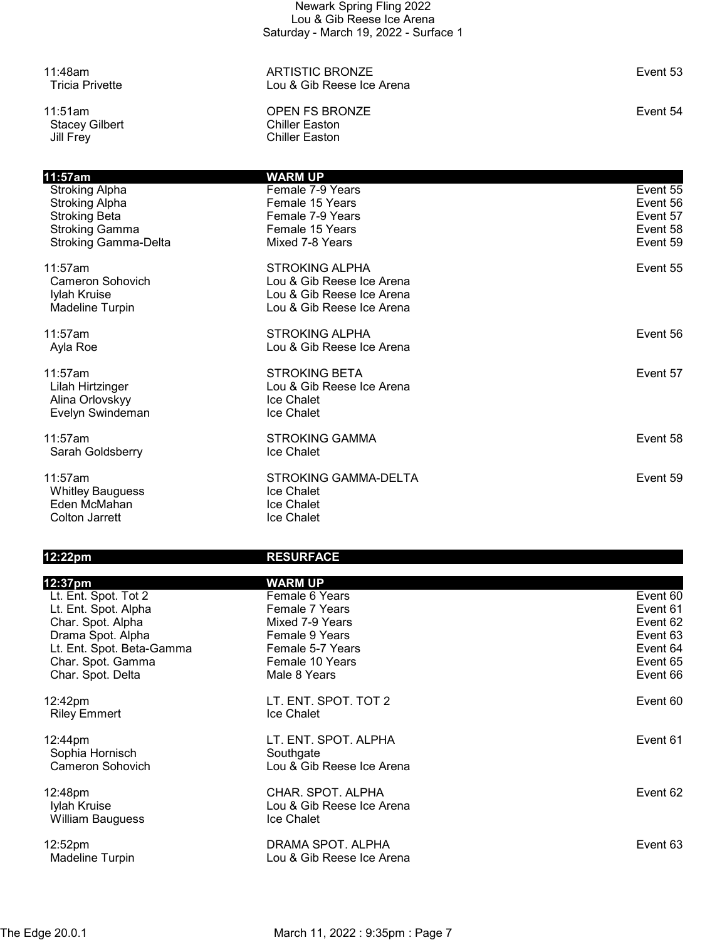Stacey Gilbert<br>Jill Frey

11:48am ARTISTIC BRONZE Event 53 Lou & Gib Reese Ice Arena

11:51am OPEN FS BRONZE Event 54 Chiller Easton

| Female 7-9 Years          | Event 55                                                        |
|---------------------------|-----------------------------------------------------------------|
| Female 15 Years           | Event 56                                                        |
| Female 7-9 Years          | Event 57                                                        |
| Female 15 Years           | Event 58                                                        |
| Mixed 7-8 Years           | Event 59                                                        |
| <b>STROKING ALPHA</b>     | Event 55                                                        |
| Lou & Gib Reese Ice Arena |                                                                 |
| Lou & Gib Reese Ice Arena |                                                                 |
| Lou & Gib Reese Ice Arena |                                                                 |
| <b>STROKING ALPHA</b>     | Event 56                                                        |
| Lou & Gib Reese Ice Arena |                                                                 |
| <b>STROKING BETA</b>      | Event 57                                                        |
| Lou & Gib Reese Ice Arena |                                                                 |
| Ice Chalet                |                                                                 |
| Ice Chalet                |                                                                 |
|                           | Event 58                                                        |
| Ice Chalet                |                                                                 |
|                           | Event 59                                                        |
| Ice Chalet                |                                                                 |
| Ice Chalet                |                                                                 |
| Ice Chalet                |                                                                 |
|                           | <b>WARM UP</b><br><b>STROKING GAMMA</b><br>STROKING GAMMA-DELTA |

# 12:22pm RESURFACE

| 12:37pm                        | <b>WARM UP</b>                     |          |
|--------------------------------|------------------------------------|----------|
| Lt. Ent. Spot. Tot 2           | Female 6 Years                     | Event 60 |
| Lt. Ent. Spot. Alpha           | Female 7 Years                     | Event 61 |
| Char. Spot. Alpha              | Mixed 7-9 Years                    | Event 62 |
| Drama Spot. Alpha              | Female 9 Years                     | Event 63 |
| Lt. Ent. Spot. Beta-Gamma      | Female 5-7 Years                   | Event 64 |
| Char. Spot. Gamma              | Female 10 Years                    | Event 65 |
| Char. Spot. Delta              | Male 8 Years                       | Event 66 |
| 12:42pm<br><b>Riley Emmert</b> | LT. ENT. SPOT. TOT 2<br>Ice Chalet | Event 60 |
| 12:44pm                        | LT. ENT. SPOT. ALPHA               | Event 61 |
| Sophia Hornisch                | Southgate                          |          |
| Cameron Sohovich               | Lou & Gib Reese Ice Arena          |          |
| 12:48pm                        | CHAR. SPOT. ALPHA                  | Event 62 |
| Iylah Kruise                   | Lou & Gib Reese Ice Arena          |          |
| William Bauguess               | Ice Chalet                         |          |
|                                |                                    |          |
| 12:52pm                        | DRAMA SPOT. ALPHA                  | Event 63 |
| <b>Madeline Turpin</b>         | Lou & Gib Reese Ice Arena          |          |
|                                |                                    |          |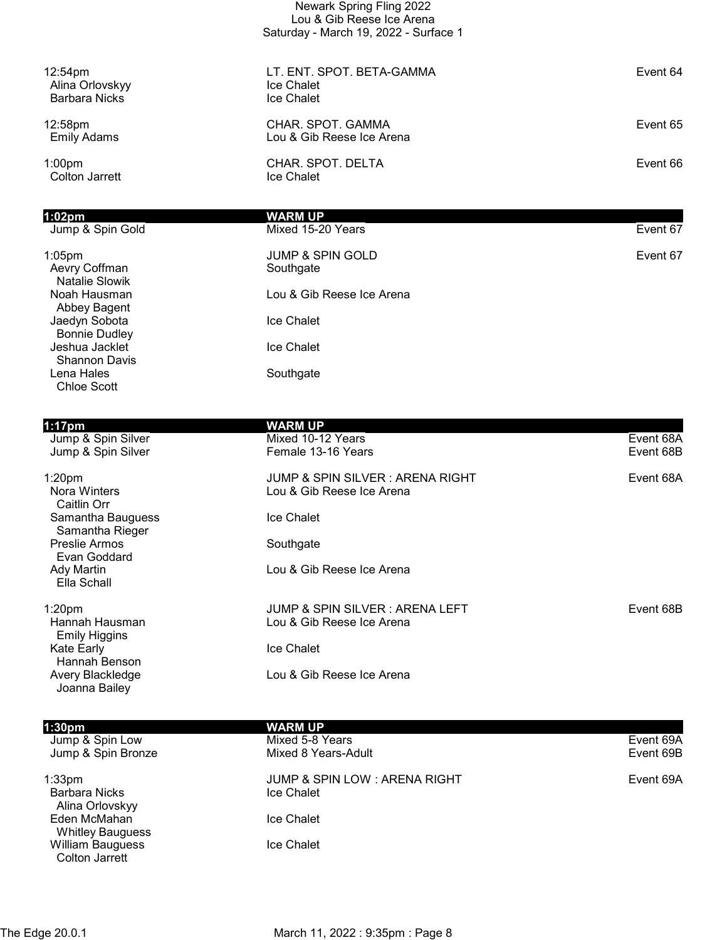|                                                     | Newark Spring Fling 2022<br>Lou & Gib Reese Ice Arena<br>Saturday - March 19, 2022 - Surface 1 |          |
|-----------------------------------------------------|------------------------------------------------------------------------------------------------|----------|
| 12:54pm<br>Alina Orlovskyy<br><b>Barbara Nicks</b>  | LT. ENT. SPOT. BETA-GAMMA<br>Ice Chalet<br>Ice Chalet                                          | Event 64 |
| 12:58pm<br><b>Emily Adams</b>                       | CHAR. SPOT. GAMMA<br>Lou & Gib Reese Ice Arena                                                 | Event 65 |
| 1:00 <sub>pm</sub><br><b>Colton Jarrett</b>         | CHAR. SPOT. DELTA<br>Ice Chalet                                                                | Event 66 |
| $1:02$ pm<br>Jump & Spin Gold                       | <b>WARM UP</b><br>Mixed 15-20 Years                                                            | Event 67 |
|                                                     |                                                                                                |          |
| $1:05$ pm<br>Aevry Coffman<br><b>Natalie Slowik</b> | <b>JUMP &amp; SPIN GOLD</b><br>Southgate                                                       | Event 67 |
| Noah Hausman<br>Abbey Bagent                        | Lou & Gib Reese Ice Arena                                                                      |          |
| Jaedyn Sobota<br><b>Bonnie Dudley</b>               | Ice Chalet                                                                                     |          |
| Jeshua Jacklet<br><b>Shannon Davis</b>              | Ice Chalet                                                                                     |          |
| Lena Hales<br>Chloe Scott                           | Southgate                                                                                      |          |

| $1:17$ pm                              | <b>WARM UP</b>                             |               |
|----------------------------------------|--------------------------------------------|---------------|
| Jump & Spin Silver                     | Mixed 10-12 Years                          | Event 68A     |
| Jump & Spin Silver                     | Female 13-16 Years                         | Event 68B     |
| 1:20 <sub>pm</sub>                     | <b>JUMP &amp; SPIN SILVER: ARENA RIGHT</b> | Event 68A     |
| Nora Winters<br>Caitlin Orr            | Lou & Gib Reese Ice Arena                  |               |
| Samantha Bauguess<br>Samantha Rieger   | Ice Chalet                                 |               |
| Preslie Armos<br>Evan Goddard          | Southgate                                  |               |
| Ady Martin                             | Lou & Gib Reese Ice Arena                  |               |
| Ella Schall                            |                                            |               |
| 1:20 <sub>pm</sub>                     | JUMP & SPIN SILVER : ARENA LEFT            | Event 68B     |
| Hannah Hausman<br><b>Emily Higgins</b> | Lou & Gib Reese Ice Arena                  |               |
| Kate Early                             | Ice Chalet                                 |               |
| Hannah Benson<br>Avery Blackledge      | Lou & Gib Reese Ice Arena                  |               |
| Joanna Bailey                          |                                            |               |
| 1:30pm                                 | WARM UP                                    |               |
| $l$ umn $l$ Cnin $l$ que               | Mivod E Q Voore                            | $E1$ ont $E0$ |

| Jump & Spin Low    |  |
|--------------------|--|
| Jump & Spin Bronze |  |
|                    |  |
| $1:33$ pm          |  |

Barbara Nicks Alina Orlovskyy Eden McMahan **International Communist Communist Communist Communist Communist Communist Communist Communist Communist Communist Communist Communist Communist Communist Communist Communist Communist Communist Communist Comm**  Whitley Bauguess William Bauguess **In the Chalet** Ice Chalet Colton Jarrett

Mixed 5-8 Years Event 69A<br>Mixed 8 Years-Adult Event 69B Mixed 8 Years-Adult

JUMP & SPIN LOW : ARENA RIGHT EVEN CONSIDER THE EVENT 69A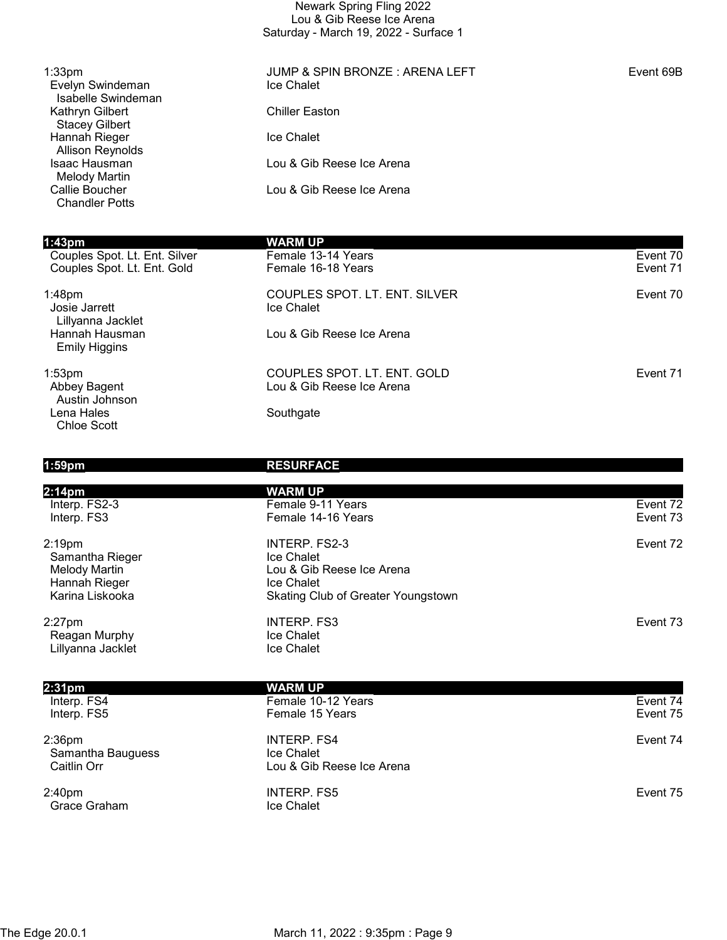| Newark Spring Fling 2022              |
|---------------------------------------|
| Lou & Gib Reese Ice Arena             |
| Saturday - March 19, 2022 - Surface 1 |

| 1:33 <sub>pm</sub><br>Evelyn Swindeman   | JUMP & SPIN BRONZE: ARENA LEFT<br>Ice Chalet | Event 69B |
|------------------------------------------|----------------------------------------------|-----------|
| Isabelle Swindeman                       |                                              |           |
| Kathryn Gilbert<br><b>Stacey Gilbert</b> | <b>Chiller Easton</b>                        |           |
| Hannah Rieger<br><b>Allison Reynolds</b> | Ice Chalet                                   |           |
| Isaac Hausman                            | Lou & Gib Reese Ice Arena                    |           |
| <b>Melody Martin</b>                     |                                              |           |
| Callie Boucher                           | Lou & Gib Reese Ice Arena                    |           |
| <b>Chandler Potts</b>                    |                                              |           |
| 1:43 <sub>pm</sub>                       | WARM UP                                      |           |
| Couples Spot. Lt. Ent. Silver            | Female 13-14 Years                           | Event 70  |
| Couples Spot. Lt. Ent. Gold              | Female 16-18 Years                           | Event 71  |
| 1:48 <sub>pm</sub>                       | COUPLES SPOT. LT. ENT. SILVER                | Event 70  |
| Josie Jarrett<br>Lillyanna Jacklet       | <b>Ice Chalet</b>                            |           |
| Hannah Hausman                           | Lou & Gib Reese Ice Arena                    |           |

1:53pm COUPLES SPOT. LT. ENT. GOLD Event 71 Austin Johnson Lena Hales **Southgate** Southgate Chloe Scott

Emily Higgins

2:31pm<br>Interp. FS4

Samantha Bauguess **In the Chalet** 

2:40pm **INTERP. FS5** Event 75 Grace Graham **Ice Chalet** 

### 1:59pm RESURFACE

Lou & Gib Reese Ice Arena

| 2:14pm                                                                                | WARM UP                                                                                                      |          |
|---------------------------------------------------------------------------------------|--------------------------------------------------------------------------------------------------------------|----------|
| Interp. FS2-3                                                                         | Female 9-11 Years                                                                                            | Event 72 |
| Interp. FS3                                                                           | Female 14-16 Years                                                                                           | Event 73 |
| 2:19pm<br>Samantha Rieger<br><b>Melody Martin</b><br>Hannah Rieger<br>Karina Liskooka | INTERP. FS2-3<br>Ice Chalet<br>Lou & Gib Reese Ice Arena<br>Ice Chalet<br>Skating Club of Greater Youngstown | Event 72 |
| 2:27pm<br>Reagan Murphy<br>Lillyanna Jacklet                                          | <b>INTERP. FS3</b><br>Ice Chalet<br>Ice Chalet                                                               | Event 73 |
| 2:31nm                                                                                | WARM UP                                                                                                      |          |

**Interpretential Female 10-12 Years Event 74** Interp. FS5 Event 75 2:36pm INTERP. FS4 Event 74 Caitlin Orr Caitlin Orr Caitlin Orr Caitlin Orr Caitlin Orr Caitlin Orr Caitlin Orr Caitlin Orr Caitlin Orr Caitlin Orr Caitlin Orr Caitlin Orr Caitlin Orr Caitlin Orr Caitlin Orr Caitlin Orr Caitlin Orr Caitlin Orr Caitli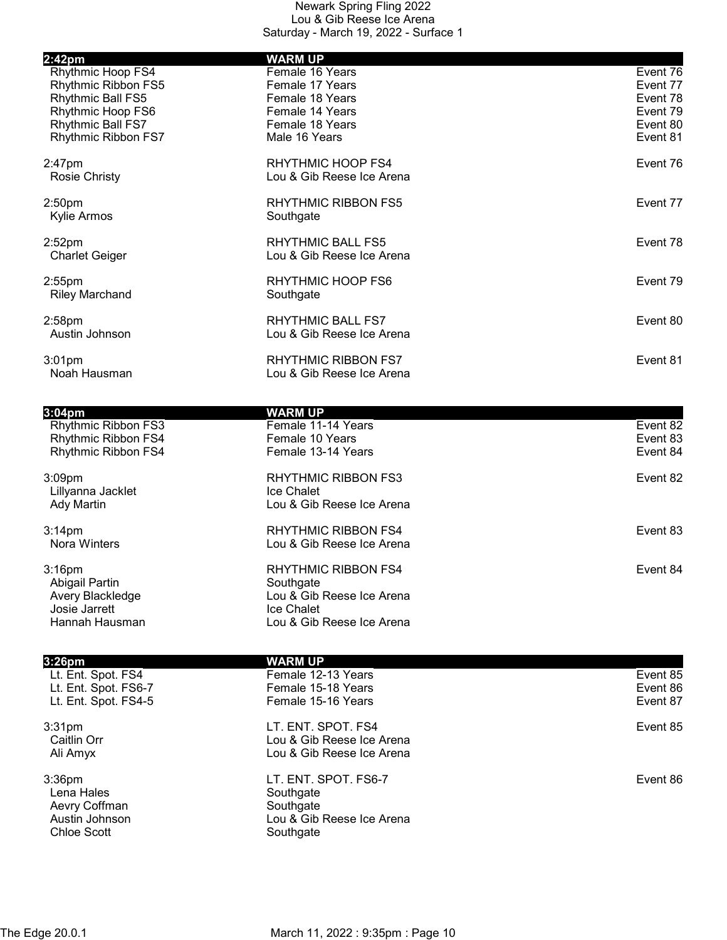| $2:42$ pm                                   | <b>WARM UP</b>                                        |          |
|---------------------------------------------|-------------------------------------------------------|----------|
| Rhythmic Hoop FS4                           | Female 16 Years                                       | Event 76 |
| Rhythmic Ribbon FS5                         | Female 17 Years                                       | Event 77 |
| Rhythmic Ball FS5                           | Female 18 Years                                       | Event 78 |
| Rhythmic Hoop FS6                           | Female 14 Years                                       | Event 79 |
| Rhythmic Ball FS7                           | Female 18 Years                                       | Event 80 |
| Rhythmic Ribbon FS7                         | Male 16 Years                                         | Event 81 |
| 2:47pm                                      | RHYTHMIC HOOP FS4                                     | Event 76 |
| Rosie Christy                               | Lou & Gib Reese Ice Arena                             |          |
| 2:50 <sub>pm</sub>                          | <b>RHYTHMIC RIBBON FS5</b>                            | Event 77 |
| Kylie Armos                                 | Southgate                                             |          |
|                                             |                                                       |          |
| 2:52 <sub>pm</sub><br><b>Charlet Geiger</b> | <b>RHYTHMIC BALL FS5</b><br>Lou & Gib Reese Ice Arena | Event 78 |
|                                             |                                                       |          |
| $2:55$ pm                                   | RHYTHMIC HOOP FS6                                     | Event 79 |
| <b>Riley Marchand</b>                       | Southgate                                             |          |
| 2:58pm                                      | <b>RHYTHMIC BALL FS7</b>                              | Event 80 |
| Austin Johnson                              | Lou & Gib Reese Ice Arena                             |          |
| $3:01$ pm                                   | RHYTHMIC RIBBON FS7                                   | Event 81 |
| Noah Hausman                                | Lou & Gib Reese Ice Arena                             |          |
|                                             |                                                       |          |
| 3:04 <sub>pm</sub>                          | <b>WARM UP</b>                                        |          |
| Rhythmic Ribbon FS3                         | Female 11-14 Years                                    | Event 82 |
| Rhythmic Ribbon FS4                         | Female 10 Years                                       | Event 83 |
| Rhythmic Ribbon FS4                         | Female 13-14 Years                                    | Event 84 |
| $3:09$ pm                                   | <b>RHYTHMIC RIBBON FS3</b>                            | Event 82 |
| Lillyanna Jacklet                           | <b>Ice Chalet</b>                                     |          |
| Ady Martin                                  | Lou & Gib Reese Ice Arena                             |          |
| $3:14$ pm                                   | <b>RHYTHMIC RIBBON FS4</b>                            | Event 83 |
| Nora Winters                                | Lou & Gib Reese Ice Arena                             |          |
| $3:16$ pm                                   | <b>RHYTHMIC RIBBON FS4</b>                            | Event 84 |
| Abigail Partin                              | Southgate                                             |          |
| Avery Blackledge                            | Lou & Gib Reese Ice Arena                             |          |
| Josie Jarrett                               | Ice Chalet                                            |          |
| Hannah Hausman                              | Lou & Gib Reese Ice Arena                             |          |

| <b>WARM UP</b>                                                                           |                           |
|------------------------------------------------------------------------------------------|---------------------------|
| Female 12-13 Years                                                                       | Event 85                  |
| Female 15-18 Years                                                                       | Event 86                  |
| Female 15-16 Years                                                                       | Event 87                  |
| LT. ENT. SPOT. FS4                                                                       | Event 85                  |
| Lou & Gib Reese Ice Arena                                                                |                           |
| LT. ENT. SPOT. FS6-7<br>Southgate<br>Southgate<br>Lou & Gib Reese Ice Arena<br>Southgate | Event 86                  |
|                                                                                          | Lou & Gib Reese Ice Arena |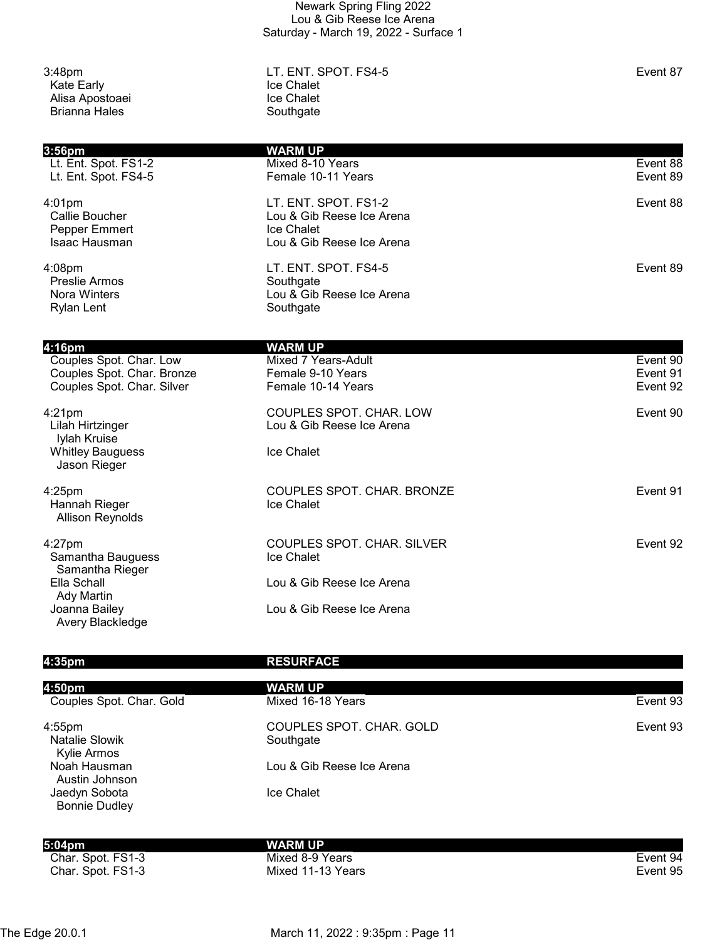| 3:48 <sub>pm</sub><br><b>Kate Early</b><br>Alisa Apostoaei<br><b>Brianna Hales</b> | LT. ENT. SPOT. FS4-5<br>Ice Chalet<br>Ice Chalet<br>Southgate | Event 87 |
|------------------------------------------------------------------------------------|---------------------------------------------------------------|----------|
| 3:56 <sub>pm</sub>                                                                 | <b>WARM UP</b>                                                |          |
| Lt. Ent. Spot. FS1-2                                                               | Mixed 8-10 Years                                              | Event 88 |
| Lt. Ent. Spot. FS4-5                                                               | Female 10-11 Years                                            | Event 89 |
| $4:01$ pm                                                                          | LT. ENT. SPOT. FS1-2                                          | Event 88 |
| Callie Boucher                                                                     | Lou & Gib Reese Ice Arena                                     |          |
| Pepper Emmert                                                                      | Ice Chalet                                                    |          |
| <b>Isaac Hausman</b>                                                               | Lou & Gib Reese Ice Arena                                     |          |
| $4:08$ pm                                                                          | LT. ENT. SPOT. FS4-5                                          | Event 89 |
| <b>Preslie Armos</b>                                                               | Southgate                                                     |          |
| <b>Nora Winters</b>                                                                | Lou & Gib Reese Ice Arena                                     |          |
| <b>Rylan Lent</b>                                                                  | Southgate                                                     |          |
| 4:16pm                                                                             | <b>WARM UP</b>                                                |          |
| Couples Spot. Char. Low                                                            | <b>Mixed 7 Years-Adult</b>                                    | Event 90 |
| Couples Spot. Char. Bronze                                                         | Female 9-10 Years                                             | Event 91 |
| Couples Spot. Char. Silver                                                         | Female 10-14 Years                                            | Event 92 |
| $4:21$ pm                                                                          | COUPLES SPOT. CHAR. LOW                                       | Event 90 |
| Lilah Hirtzinger<br>Iylah Kruise                                                   | Lou & Gib Reese Ice Arena                                     |          |
| <b>Whitley Bauguess</b><br>Jason Rieger                                            | Ice Chalet                                                    |          |

| $4:25$ pm<br>Hannah Rieger<br>Allison Reynolds    | COUPLES SPOT. CHAR. BRONZE<br>Ice Chalet | Event 91 |
|---------------------------------------------------|------------------------------------------|----------|
| $4:27$ pm<br>Samantha Bauguess<br>Samantha Rieger | COUPLES SPOT. CHAR. SILVER<br>Ice Chalet | Event 92 |
| Ella Schall<br>Ady Martin                         | Lou & Gib Reese Ice Arena                |          |
| Joanna Bailey<br>Avery Blackledge                 | Lou & Gib Reese Ice Arena                |          |

# 4:35pm RESURFACE

| 4:50pm<br>Couples Spot. Char. Gold         | <b>WARM UP</b><br>Mixed 16-18 Years   | Event 93 |
|--------------------------------------------|---------------------------------------|----------|
| $4:55$ pm<br>Natalie Slowik<br>Kylie Armos | COUPLES SPOT. CHAR. GOLD<br>Southgate | Event 93 |
| Noah Hausman<br>Austin Johnson             | Lou & Gib Reese Ice Arena             |          |
| Jaedyn Sobota<br><b>Bonnie Dudley</b>      | Ice Chalet                            |          |
| 5:04pm                                     | WARM UP                               |          |

Char. Spot. FS1-3 Mixed 8-9 Years Event 94

Char. Spot. FS1-3 Mixed 11-13 Years Event 95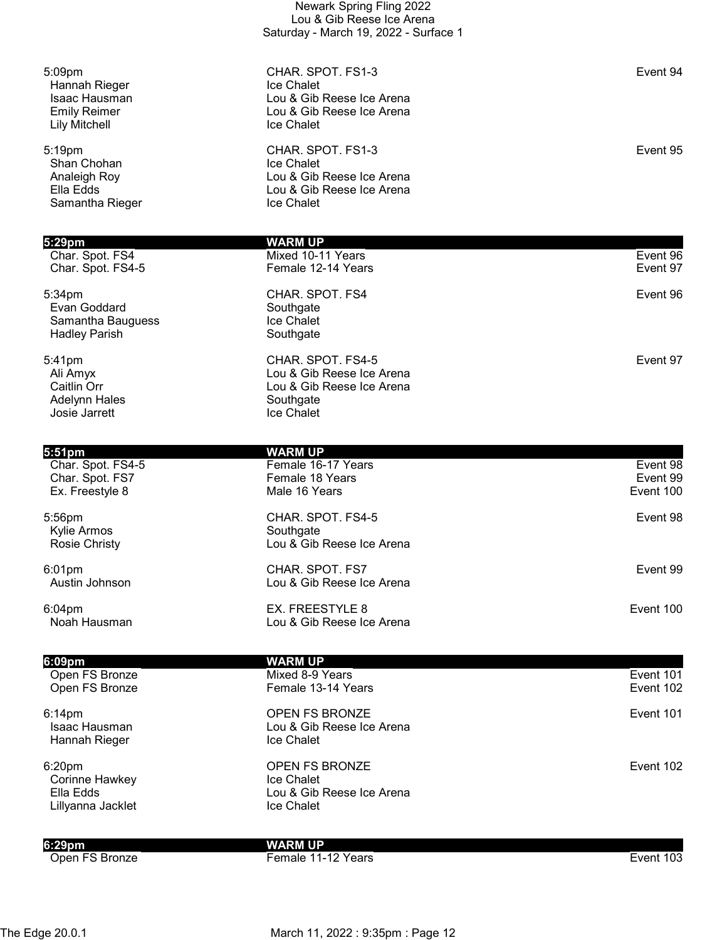|                                                                                                | Saturday - March 19, 2022 - Surface 1                                                                   |                                   |
|------------------------------------------------------------------------------------------------|---------------------------------------------------------------------------------------------------------|-----------------------------------|
| 5:09pm<br>Hannah Rieger<br><b>Isaac Hausman</b><br><b>Emily Reimer</b><br><b>Lily Mitchell</b> | CHAR. SPOT. FS1-3<br>Ice Chalet<br>Lou & Gib Reese Ice Arena<br>Lou & Gib Reese Ice Arena<br>Ice Chalet | Event 94                          |
| 5:19pm<br>Shan Chohan<br>Analeigh Roy<br>Ella Edds<br>Samantha Rieger                          | CHAR. SPOT. FS1-3<br>Ice Chalet<br>Lou & Gib Reese Ice Arena<br>Lou & Gib Reese Ice Arena<br>Ice Chalet | Event 95                          |
| 5:29pm                                                                                         | <b>WARM UP</b>                                                                                          |                                   |
| Char. Spot. FS4<br>Char. Spot. FS4-5                                                           | Mixed 10-11 Years<br>Female 12-14 Years                                                                 | Event 96<br>Event 97              |
| 5:34pm<br>Evan Goddard<br>Samantha Bauguess<br><b>Hadley Parish</b>                            | CHAR. SPOT. FS4<br>Southgate<br>Ice Chalet<br>Southgate                                                 | Event 96                          |
| 5:41pm<br>Ali Amyx<br>Caitlin Orr<br><b>Adelynn Hales</b><br>Josie Jarrett                     | CHAR. SPOT. FS4-5<br>Lou & Gib Reese Ice Arena<br>Lou & Gib Reese Ice Arena<br>Southgate<br>Ice Chalet  | Event 97                          |
| 5:51pm                                                                                         | <b>WARM UP</b>                                                                                          |                                   |
| Char. Spot. FS4-5<br>Char. Spot. FS7<br>Ex. Freestyle 8                                        | Female 16-17 Years<br>Female 18 Years<br>Male 16 Years                                                  | Event 98<br>Event 99<br>Event 100 |
| 5:56pm<br>Kylie Armos<br><b>Rosie Christy</b>                                                  | CHAR. SPOT. FS4-5<br>Southgate<br>Lou & Gib Reese Ice Arena                                             | Event 98                          |
| 6:01pm<br>Austin Johnson                                                                       | CHAR. SPOT. FS7<br>Lou & Gib Reese Ice Arena                                                            | Event 99                          |
| 6:04pm<br>Noah Hausman                                                                         | <b>EX. FREESTYLE 8</b><br>Lou & Gib Reese Ice Arena                                                     | Event 100                         |
|                                                                                                |                                                                                                         |                                   |
| 6:09pm<br>Open FS Bronze<br>Open FS Bronze                                                     | <b>WARM UP</b><br>Mixed 8-9 Years<br>Female 13-14 Years                                                 | Event 101<br>Event 102            |
| 6:14pm<br>Isaac Hausman<br>Hannah Rieger                                                       | <b>OPEN FS BRONZE</b><br>Lou & Gib Reese Ice Arena<br>Ice Chalet                                        | Event 101                         |
| 6:20pm<br>Corinne Hawkey<br>Ella Edds<br>Lillyanna Jacklet                                     | OPEN FS BRONZE<br>Ice Chalet<br>Lou & Gib Reese Ice Arena<br>Ice Chalet                                 | Event 102                         |
| 6:29pm                                                                                         | <b>WARM UP</b>                                                                                          |                                   |
| Open FS Bronze                                                                                 | Female 11-12 Years                                                                                      | Event 103                         |

Newark Spring Fling 2022 Lou & Gib Reese Ice Arena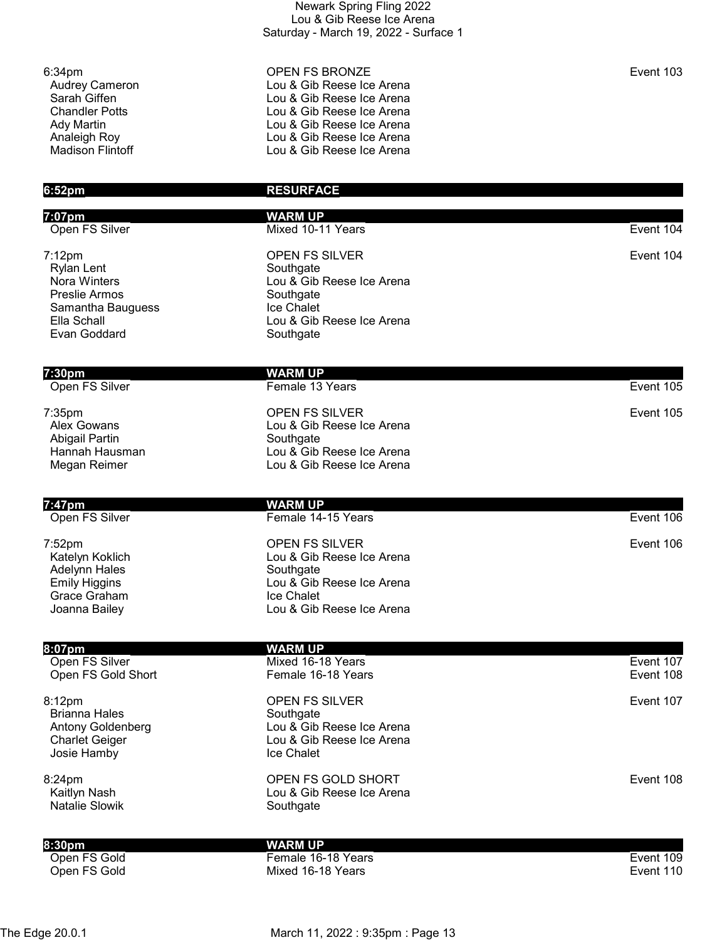| Newark Spring Fling 2022              |
|---------------------------------------|
| Lou & Gib Reese Ice Arena             |
| Saturday - March 19, 2022 - Surface 1 |

| 6:34 <sub>pm</sub>                    | <b>OPEN FS BRONZE</b>                                  | Event 103 |
|---------------------------------------|--------------------------------------------------------|-----------|
| <b>Audrey Cameron</b><br>Sarah Giffen | Lou & Gib Reese Ice Arena<br>Lou & Gib Reese Ice Arena |           |
| <b>Chandler Potts</b>                 | Lou & Gib Reese Ice Arena                              |           |
| Ady Martin<br>Analeigh Roy            | Lou & Gib Reese Ice Arena<br>Lou & Gib Reese Ice Arena |           |
| <b>Madison Flintoff</b>               | Lou & Gib Reese Ice Arena                              |           |
| 6:52 <sub>pm</sub>                    | <b>RESURFACE</b>                                       |           |

| 6:52pm                                                                                                              | <b>RESURFACE</b>                                                                                                                        |                        |
|---------------------------------------------------------------------------------------------------------------------|-----------------------------------------------------------------------------------------------------------------------------------------|------------------------|
| 7:07pm<br>Open FS Silver                                                                                            | <b>WARM UP</b><br>Mixed 10-11 Years                                                                                                     | Event 104              |
| $7:12$ pm<br><b>Rylan Lent</b><br>Nora Winters<br>Preslie Armos<br>Samantha Bauguess<br>Ella Schall<br>Evan Goddard | <b>OPEN FS SILVER</b><br>Southgate<br>Lou & Gib Reese Ice Arena<br>Southgate<br>Ice Chalet<br>Lou & Gib Reese Ice Arena<br>Southgate    | Event 104              |
| 7:30pm<br>Open FS Silver                                                                                            | <b>WARM UP</b><br>Female 13 Years                                                                                                       | Event 105              |
| 7:35pm<br><b>Alex Gowans</b><br>Abigail Partin<br>Hannah Hausman<br>Megan Reimer                                    | OPEN FS SILVER<br>Lou & Gib Reese Ice Arena<br>Southgate<br>Lou & Gib Reese Ice Arena<br>Lou & Gib Reese Ice Arena                      | Event 105              |
| 7:47pm<br>Open FS Silver                                                                                            | <b>WARM UP</b><br>Female 14-15 Years                                                                                                    | Event 106              |
| 7:52pm<br>Katelyn Koklich<br><b>Adelynn Hales</b><br><b>Emily Higgins</b><br>Grace Graham<br>Joanna Bailey          | <b>OPEN FS SILVER</b><br>Lou & Gib Reese Ice Arena<br>Southgate<br>Lou & Gib Reese Ice Arena<br>Ice Chalet<br>Lou & Gib Reese Ice Arena | Event 106              |
| 8:07pm                                                                                                              | <b>WARM UP</b>                                                                                                                          |                        |
| Open FS Silver<br>Open FS Gold Short                                                                                | Mixed 16-18 Years<br>Female 16-18 Years                                                                                                 | Event 107<br>Event 108 |
| 8:12pm<br><b>Brianna Hales</b>                                                                                      | OPEN FS SILVER<br>Southgate                                                                                                             | Event 107              |

8:12pm<br>Brianna Hales<br>Antony Goldenberg Charlet Geiger<br>
Josie Hamby<br>
Josie Hamby<br>
Lou & Gib Reese Ice Arena<br>
Ice Chalet Josie Hamby

8:24pm OPEN FS GOLD SHORT Event 108 Natalie Slowik **Southgate** Southgate

Open FS Gold Mixed 16-18 Years Event 110

8:30pm WARM UP Open FS Gold Female 16-18 Years Event 109

Lou & Gib Reese Ice Arena

Lou & Gib Reese Ice Arena

The Edge 20.0.1 March 11, 2022 : 9:35pm : Page 13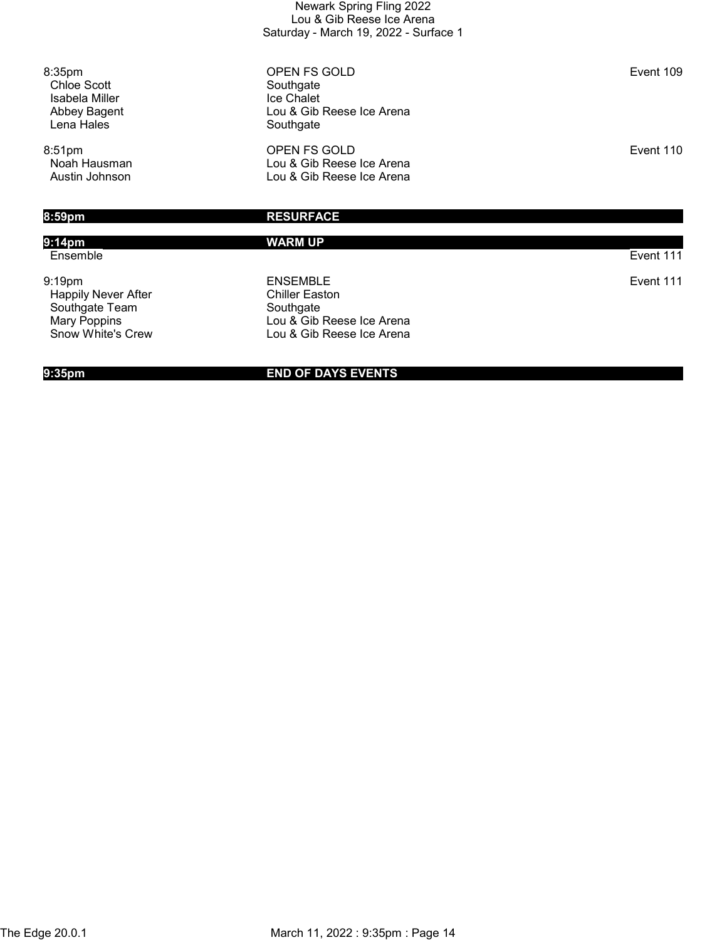| Newark Spring Fling 2022              |
|---------------------------------------|
| Lou & Gib Reese Ice Arena             |
| Saturday - March 19, 2022 - Surface 1 |

| 8:35pm         | OPEN FS GOLD              | Event 109 |
|----------------|---------------------------|-----------|
| Chloe Scott    | Southgate                 |           |
| Isabela Miller | Ice Chalet                |           |
| Abbey Bagent   | Lou & Gib Reese Ice Arena |           |
| Lena Hales     | Southgate                 |           |

8:51pm OPEN FS GOLD Event 110 Noah Hausman **Noah Hausman** Lou & Gib Reese Ice Arena<br>Austin Johnson **Lou & Gib Reese Ice Arena** Lou & Gib Reese Ice Arena

# 8:59pm RESURFACE

# 9:14pm WARM UP<br>Ensemble

## 9:19pm ENSEMBLE Event 111 Happily Never After **Chiller Easton**<br>
Southgate Team Southgate Southgate Team<br>Mary Poppins Mary Poppins<br>
Snow White's Crew
Snow White's Crew
Book Come Lou & Gib Reese Ice Arena

# 9:35pm END OF DAYS EVENTS

Lou & Gib Reese Ice Arena

Ensemble Event 111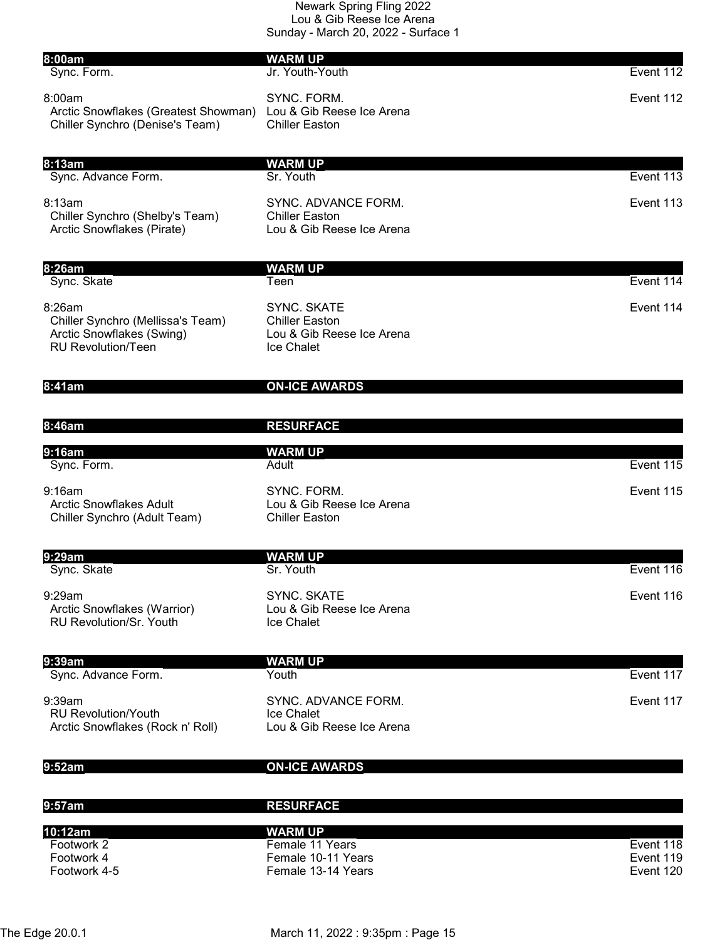| 8:00am                                                                                                | <b>WARM UP</b>                                                                         |                        |
|-------------------------------------------------------------------------------------------------------|----------------------------------------------------------------------------------------|------------------------|
| Sync. Form.                                                                                           | Jr. Youth-Youth                                                                        | Event 112              |
| 8:00am<br>Arctic Snowflakes (Greatest Showman)<br>Chiller Synchro (Denise's Team)                     | SYNC. FORM.<br>Lou & Gib Reese Ice Arena<br><b>Chiller Easton</b>                      | Event 112              |
| 8:13am                                                                                                | <b>WARM UP</b>                                                                         |                        |
| Sync. Advance Form.                                                                                   | Sr. Youth                                                                              | Event 113              |
| 8:13am<br>Chiller Synchro (Shelby's Team)<br>Arctic Snowflakes (Pirate)                               | SYNC. ADVANCE FORM.<br><b>Chiller Easton</b><br>Lou & Gib Reese Ice Arena              | Event 113              |
| 8:26am                                                                                                | <b>WARM UP</b>                                                                         |                        |
| Sync. Skate                                                                                           | Teen                                                                                   | Event 114              |
| 8:26am<br>Chiller Synchro (Mellissa's Team)<br>Arctic Snowflakes (Swing)<br><b>RU Revolution/Teen</b> | <b>SYNC. SKATE</b><br><b>Chiller Easton</b><br>Lou & Gib Reese Ice Arena<br>Ice Chalet | Event 114              |
| 8:41am                                                                                                | <b>ON-ICE AWARDS</b>                                                                   |                        |
| 8:46am                                                                                                | <b>RESURFACE</b>                                                                       |                        |
| 9:16am                                                                                                | <b>WARM UP</b>                                                                         |                        |
| Sync. Form.                                                                                           | Adult                                                                                  | Event 115              |
| 9:16am<br><b>Arctic Snowflakes Adult</b><br>Chiller Synchro (Adult Team)                              | SYNC. FORM.<br>Lou & Gib Reese Ice Arena<br><b>Chiller Easton</b>                      | Event 115              |
| 9:29am                                                                                                | <b>WARM UP</b>                                                                         |                        |
| Sync. Skate                                                                                           | Sr. Youth                                                                              | Event 116              |
| 9:29am<br>Arctic Snowflakes (Warrior)<br><b>RU Revolution/Sr. Youth</b>                               | <b>SYNC, SKATE</b><br>Lou & Gib Reese Ice Arena<br><b>Ice Chalet</b>                   | Event 116              |
| 9:39am                                                                                                | <b>WARM UP</b>                                                                         |                        |
| Sync. Advance Form.                                                                                   | Youth                                                                                  | Event 117              |
| 9:39am<br><b>RU Revolution/Youth</b><br>Arctic Snowflakes (Rock n' Roll)                              | SYNC. ADVANCE FORM.<br>Ice Chalet<br>Lou & Gib Reese Ice Arena                         | Event 117              |
| 9:52am                                                                                                | <b>ON-ICE AWARDS</b>                                                                   |                        |
| 9:57am                                                                                                | <b>RESURFACE</b>                                                                       |                        |
| 10:12am                                                                                               | <b>WARM UP</b>                                                                         |                        |
| Footwork 2<br>Footwork 4                                                                              | Female 11 Years<br>Female 10-11 Years                                                  | Event 118<br>Event 119 |
| Footwork 4-5                                                                                          | Female 13-14 Years                                                                     | Event 120              |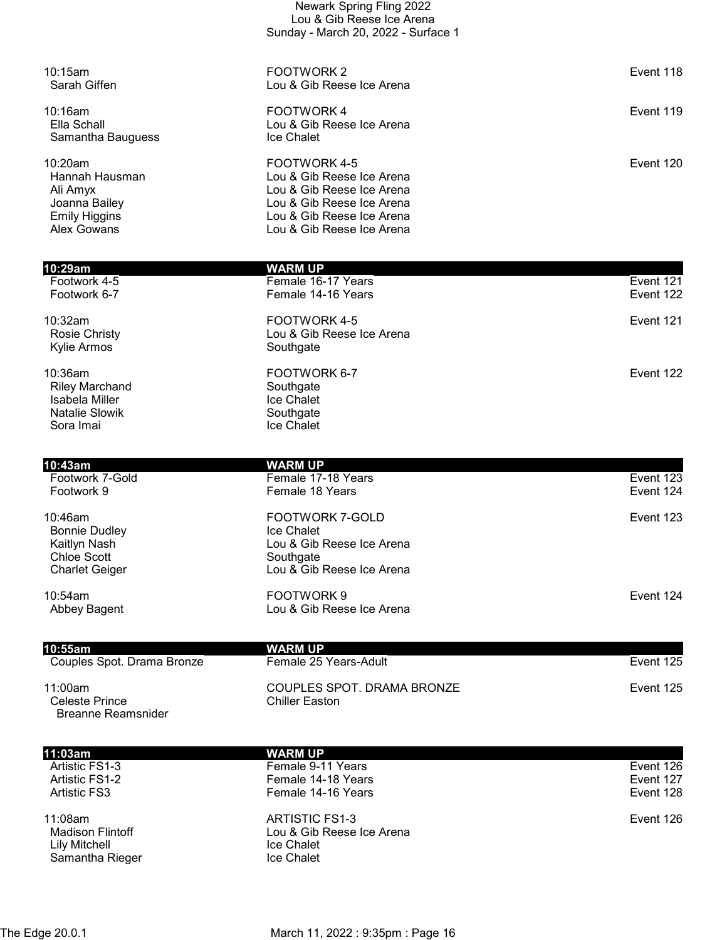| 10:29am                               | WARM UP<br>E. 4 0 4 7 M                                | $\Gamma$ $\Gamma$ 404 |
|---------------------------------------|--------------------------------------------------------|-----------------------|
|                                       |                                                        |                       |
| Alex Gowans                           | Lou & Gib Reese Ice Arena                              |                       |
| Joanna Bailey<br><b>Emily Higgins</b> | Lou & Gib Reese Ice Arena                              |                       |
| Ali Amyx                              | Lou & Gib Reese Ice Arena<br>Lou & Gib Reese Ice Arena |                       |
| Hannah Hausman                        | Lou & Gib Reese Ice Arena                              |                       |
| $10:20$ am                            | FOOTWORK 4-5                                           | Event 120             |
| Samantha Bauguess                     | Ice Chalet                                             |                       |
| Ella Schall                           | Lou & Gib Reese Ice Arena                              |                       |
| 10:16am                               | <b>FOOTWORK4</b>                                       | Event 119             |
|                                       |                                                        |                       |
| Sarah Giffen                          | Lou & Gib Reese Ice Arena                              |                       |
| 10:15am                               | FOOTWORK 2                                             | Event 118             |
|                                       |                                                        |                       |
|                                       | Sunday - March 20, 2022 - Surface 1                    |                       |
|                                       | Lou & Gib Reese Ice Arena                              |                       |

Newark Spring Fling 2022

| Footwork 4-5                                                                                | Female 16-17 Years                                                 | Event 121 |
|---------------------------------------------------------------------------------------------|--------------------------------------------------------------------|-----------|
| Footwork 6-7                                                                                | Female 14-16 Years                                                 | Event 122 |
| 10:32am<br><b>Rosie Christy</b><br>Kylie Armos                                              | FOOTWORK 4-5<br>Lou & Gib Reese Ice Arena<br>Southgate             | Event 121 |
| $10:36$ am<br><b>Riley Marchand</b><br>Isabela Miller<br><b>Natalie Slowik</b><br>Sora Imai | FOOTWORK 6-7<br>Southgate<br>Ice Chalet<br>Southgate<br>Ice Chalet | Event 122 |

| 10:43am                                                                                           | <b>WARM UP</b>                                                                                              |                                                      |
|---------------------------------------------------------------------------------------------------|-------------------------------------------------------------------------------------------------------------|------------------------------------------------------|
| Footwork 7-Gold                                                                                   | Female 17-18 Years                                                                                          | Event 123                                            |
| Footwork 9                                                                                        | Female 18 Years                                                                                             | Event 124                                            |
| $10:46$ am<br><b>Bonnie Dudley</b><br>Kaitlyn Nash<br><b>Chloe Scott</b><br><b>Charlet Geiger</b> | <b>FOOTWORK 7-GOLD</b><br>Ice Chalet<br>Lou & Gib Reese Ice Arena<br>Southgate<br>Lou & Gib Reese Ice Arena | Event 123                                            |
| 10:54am<br>Abbey Bagent                                                                           | FOOTWORK9<br>Lou & Gib Reese Ice Arena                                                                      | Event 124                                            |
| 10:55am<br>$\sim$ $\sim$                                                                          | WARM UP                                                                                                     | $\overline{\phantom{0}}$<br>$\overline{\phantom{a}}$ |

| ιιν. συαι ιι                                           | WAND YE                                       |           |
|--------------------------------------------------------|-----------------------------------------------|-----------|
| Couples Spot. Drama Bronze                             | Female 25 Years-Adult                         | Event 125 |
| 11:00am<br>Celeste Prince<br><b>Breanne Reamsnider</b> | COUPLES SPOT, DRAMA BRONZE<br>Chiller Easton. | Event 125 |

| 11:03am                                 | <b>WARM UP</b>                              |           |
|-----------------------------------------|---------------------------------------------|-----------|
| Artistic FS1-3                          | Female 9-11 Years                           | Event 126 |
| Artistic FS1-2                          | Female 14-18 Years                          | Event 127 |
| <b>Artistic FS3</b>                     | Female 14-16 Years                          | Event 128 |
| 11:08am<br><b>Madison Flintoff</b>      | ARTISTIC FS1-3<br>Lou & Gib Reese Ice Arena | Event 126 |
| <b>Lily Mitchell</b><br>Samantha Rieger | Ice Chalet<br><b>Ice Chalet</b>             |           |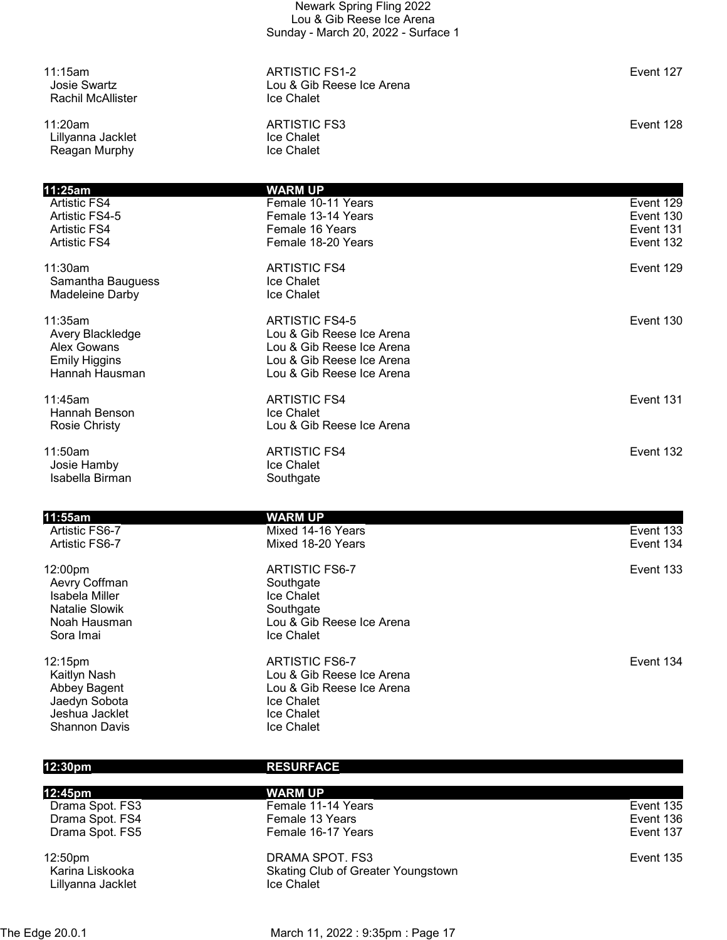| 11:15am<br><b>Josie Swartz</b><br><b>Rachil McAllister</b> | <b>ARTISTIC FS1-2</b><br>Lou & Gib Reese Ice Arena<br>Ice Chalet | Event 127              |
|------------------------------------------------------------|------------------------------------------------------------------|------------------------|
| 11:20am<br>Lillyanna Jacklet<br>Reagan Murphy              | <b>ARTISTIC FS3</b><br>Ice Chalet<br>Ice Chalet                  | Event 128              |
| 11:25am                                                    | <b>WARM UP</b>                                                   |                        |
| Artistic FS4                                               | Female 10-11 Years                                               | Event 129              |
| Artistic FS4-5                                             | Female 13-14 Years                                               | Event 130              |
| <b>Artistic FS4</b>                                        | Female 16 Years<br>Female 18-20 Years                            | Event 131<br>Event 132 |
| <b>Artistic FS4</b>                                        |                                                                  |                        |
| 11:30am                                                    | <b>ARTISTIC FS4</b>                                              | Event 129              |
| Samantha Bauguess                                          | Ice Chalet                                                       |                        |
| Madeleine Darby                                            | Ice Chalet                                                       |                        |
| 11:35am                                                    | <b>ARTISTIC FS4-5</b>                                            | Event 130              |
| Avery Blackledge                                           | Lou & Gib Reese Ice Arena                                        |                        |
| Alex Gowans                                                | Lou & Gib Reese Ice Arena                                        |                        |
| <b>Emily Higgins</b>                                       | Lou & Gib Reese Ice Arena                                        |                        |
| Hannah Hausman                                             | Lou & Gib Reese Ice Arena                                        |                        |
| 11:45am                                                    | <b>ARTISTIC FS4</b>                                              | Event 131              |
| Hannah Benson                                              | Ice Chalet                                                       |                        |
| <b>Rosie Christy</b>                                       | Lou & Gib Reese Ice Arena                                        |                        |
| 11:50am                                                    | <b>ARTISTIC FS4</b>                                              | Event 132              |
| Josie Hamby                                                | Ice Chalet                                                       |                        |
| Isabella Birman                                            | Southgate                                                        |                        |
|                                                            |                                                                  |                        |
| 11:55am                                                    | <b>WARM UP</b>                                                   |                        |
| Artistic FS6-7                                             | Mixed 14-16 Years                                                | Event 133              |
| Artistic FS6-7                                             | Mixed 18-20 Years                                                | Event 134              |
| 12:00pm                                                    | <b>ARTISTIC FS6-7</b>                                            | Event 133              |
| Aevry Coffman                                              | Southgate                                                        |                        |
| Isabela Miller                                             | Ice Chalet                                                       |                        |
| <b>Natalie Slowik</b>                                      | Southgate                                                        |                        |
| Noah Hausman                                               | Lou & Gib Reese Ice Arena                                        |                        |
| Sora Imai                                                  | Ice Chalet                                                       |                        |
| 12:15pm                                                    | <b>ARTISTIC FS6-7</b>                                            | Event 134              |
| Kaitlyn Nash                                               | Lou & Gib Reese Ice Arena                                        |                        |
| Abbey Bagent                                               | Lou & Gib Reese Ice Arena                                        |                        |
| Jaedyn Sobota                                              | Ice Chalet                                                       |                        |
| Jeshua Jacklet<br><b>Shannon Davis</b>                     | Ice Chalet<br>Ice Chalet                                         |                        |
|                                                            |                                                                  |                        |
|                                                            |                                                                  |                        |
| 12:30pm                                                    | <b>RESURFACE</b>                                                 |                        |

| 12:45pm           | <b>WARM UP</b>                     |           |
|-------------------|------------------------------------|-----------|
| Drama Spot. FS3   | Female 11-14 Years                 | Event 135 |
| Drama Spot. FS4   | Female 13 Years                    | Event 136 |
| Drama Spot. FS5   | Female 16-17 Years                 | Event 137 |
| 12:50pm           | DRAMA SPOT. FS3                    | Event 135 |
| Karina Liskooka   | Skating Club of Greater Youngstown |           |
| Lillyanna Jacklet | Ice Chalet                         |           |
|                   |                                    |           |
|                   |                                    |           |

The Edge 20.0.1 March 11, 2022 : 9:35pm : Page 17